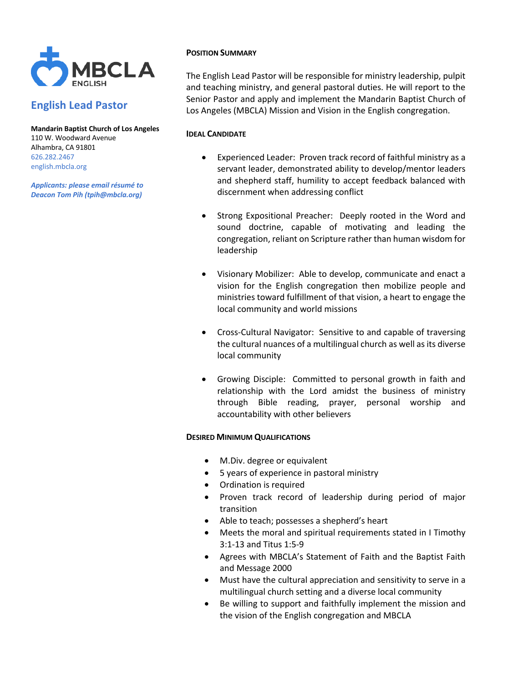

# **English Lead Pastor**

**Mandarin Baptist Church of Los Angeles** 110 W. Woodward Avenue Alhambra, CA 91801 626.282.2467 english.mbcla.org

*Applicants: please email résumé to Deacon Tom Pih (tpih@mbcla.org)*

#### **POSITION SUMMARY**

The English Lead Pastor will be responsible for ministry leadership, pulpit and teaching ministry, and general pastoral duties. He will report to the Senior Pastor and apply and implement the Mandarin Baptist Church of Los Angeles (MBCLA) Mission and Vision in the English congregation.

#### **IDEAL CANDIDATE**

- Experienced Leader: Proven track record of faithful ministry as a servant leader, demonstrated ability to develop/mentor leaders and shepherd staff, humility to accept feedback balanced with discernment when addressing conflict
- Strong Expositional Preacher: Deeply rooted in the Word and sound doctrine, capable of motivating and leading the congregation, reliant on Scripture rather than human wisdom for leadership
- Visionary Mobilizer: Able to develop, communicate and enact a vision for the English congregation then mobilize people and ministries toward fulfillment of that vision, a heart to engage the local community and world missions
- Cross-Cultural Navigator: Sensitive to and capable of traversing the cultural nuances of a multilingual church as well as its diverse local community
- Growing Disciple: Committed to personal growth in faith and relationship with the Lord amidst the business of ministry through Bible reading, prayer, personal worship and accountability with other believers

## **DESIRED MINIMUM QUALIFICATIONS**

- M.Div. degree or equivalent
- 5 years of experience in pastoral ministry
- Ordination is required
- Proven track record of leadership during period of major transition
- Able to teach; possesses a shepherd's heart
- Meets the moral and spiritual requirements stated in I Timothy 3:1-13 and Titus 1:5-9
- Agrees with MBCLA's Statement of Faith and the Baptist Faith and Message 2000
- Must have the cultural appreciation and sensitivity to serve in a multilingual church setting and a diverse local community
- Be willing to support and faithfully implement the mission and the vision of the English congregation and MBCLA